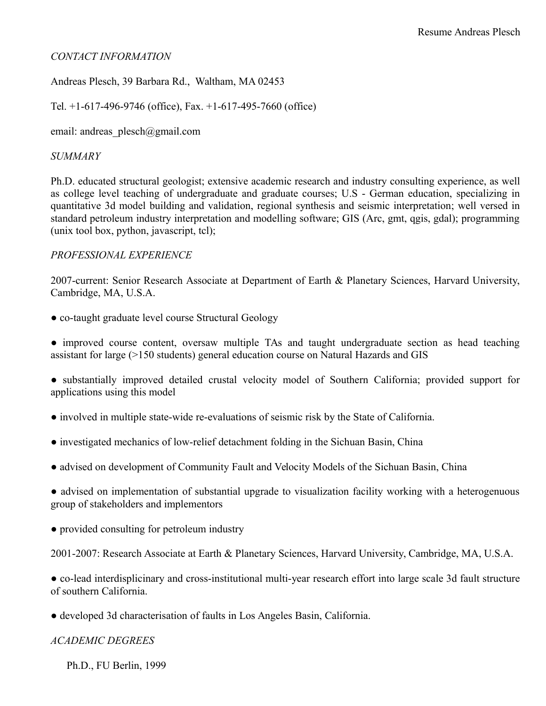# *CONTACT INFORMATION*

Andreas Plesch, 39 Barbara Rd., Waltham, MA 02453

Tel. +1-617-496-9746 (office), Fax. +1-617-495-7660 (office)

email: andreas plesch@gmail.com

## *SUMMARY*

Ph.D. educated structural geologist; extensive academic research and industry consulting experience, as well as college level teaching of undergraduate and graduate courses; U.S - German education, specializing in quantitative 3d model building and validation, regional synthesis and seismic interpretation; well versed in standard petroleum industry interpretation and modelling software; GIS (Arc, gmt, qgis, gdal); programming (unix tool box, python, javascript, tcl);

## *PROFESSIONAL EXPERIENCE*

2007-current: Senior Research Associate at Department of Earth & Planetary Sciences, Harvard University, Cambridge, MA, U.S.A.

- co-taught graduate level course Structural Geology
- improved course content, oversaw multiple TAs and taught undergraduate section as head teaching assistant for large (>150 students) general education course on Natural Hazards and GIS
- substantially improved detailed crustal velocity model of Southern California; provided support for applications using this model
- involved in multiple state-wide re-evaluations of seismic risk by the State of California.
- investigated mechanics of low-relief detachment folding in the Sichuan Basin, China
- advised on development of Community Fault and Velocity Models of the Sichuan Basin, China
- advised on implementation of substantial upgrade to visualization facility working with a heterogenuous group of stakeholders and implementors
- provided consulting for petroleum industry
- 2001-2007: Research Associate at Earth & Planetary Sciences, Harvard University, Cambridge, MA, U.S.A.

● co-lead interdisplicinary and cross-institutional multi-year research effort into large scale 3d fault structure of southern California.

● developed 3d characterisation of faults in Los Angeles Basin, California.

#### *ACADEMIC DEGREES*

Ph.D., FU Berlin, 1999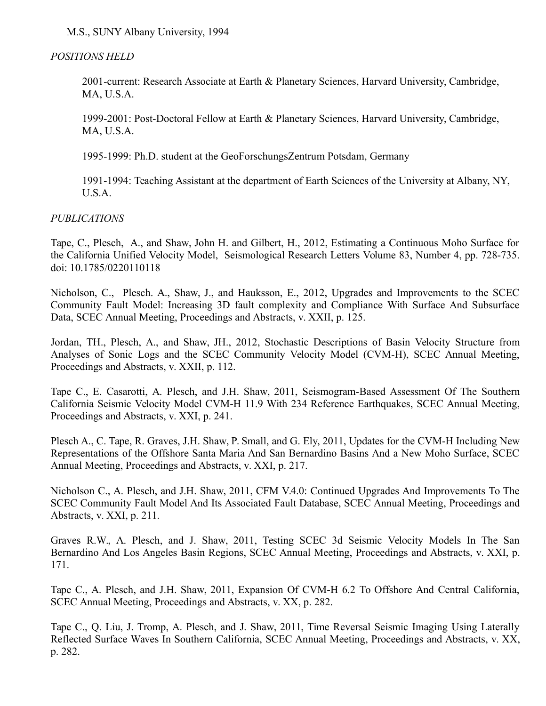M.S., SUNY Albany University, 1994

# *POSITIONS HELD*

2001-current: Research Associate at Earth & Planetary Sciences, Harvard University, Cambridge, MA, U.S.A.

1999-2001: Post-Doctoral Fellow at Earth & Planetary Sciences, Harvard University, Cambridge, MA, U.S.A.

1995-1999: Ph.D. student at the GeoForschungsZentrum Potsdam, Germany

1991-1994: Teaching Assistant at the department of Earth Sciences of the University at Albany, NY, U.S.A.

## *PUBLICATIONS*

Tape, C., Plesch, A., and Shaw, John H. and Gilbert, H., 2012, Estimating a Continuous Moho Surface for the California Unified Velocity Model, Seismological Research Letters Volume 83, Number 4, pp. 728-735. doi: 10.1785/0220110118

Nicholson, C., Plesch. A., Shaw, J., and Hauksson, E., 2012, Upgrades and Improvements to the SCEC Community Fault Model: Increasing 3D fault complexity and Compliance With Surface And Subsurface Data, SCEC Annual Meeting, Proceedings and Abstracts, v. XXII, p. 125.

Jordan, TH., Plesch, A., and Shaw, JH., 2012, Stochastic Descriptions of Basin Velocity Structure from Analyses of Sonic Logs and the SCEC Community Velocity Model (CVM-H), SCEC Annual Meeting, Proceedings and Abstracts, v. XXII, p. 112.

Tape C., E. Casarotti, A. Plesch, and J.H. Shaw, 2011, Seismogram-Based Assessment Of The Southern California Seismic Velocity Model CVM-H 11.9 With 234 Reference Earthquakes, SCEC Annual Meeting, Proceedings and Abstracts, v. XXI, p. 241.

Plesch A., C. Tape, R. Graves, J.H. Shaw, P. Small, and G. Ely, 2011, Updates for the CVM-H Including New Representations of the Offshore Santa Maria And San Bernardino Basins And a New Moho Surface, SCEC Annual Meeting, Proceedings and Abstracts, v. XXI, p. 217.

Nicholson C., A. Plesch, and J.H. Shaw, 2011, CFM V.4.0: Continued Upgrades And Improvements To The SCEC Community Fault Model And Its Associated Fault Database, SCEC Annual Meeting, Proceedings and Abstracts, v. XXI, p. 211.

Graves R.W., A. Plesch, and J. Shaw, 2011, Testing SCEC 3d Seismic Velocity Models In The San Bernardino And Los Angeles Basin Regions, SCEC Annual Meeting, Proceedings and Abstracts, v. XXI, p. 171.

Tape C., A. Plesch, and J.H. Shaw, 2011, Expansion Of CVM-H 6.2 To Offshore And Central California, SCEC Annual Meeting, Proceedings and Abstracts, v. XX, p. 282.

Tape C., Q. Liu, J. Tromp, A. Plesch, and J. Shaw, 2011, Time Reversal Seismic Imaging Using Laterally Reflected Surface Waves In Southern California, SCEC Annual Meeting, Proceedings and Abstracts, v. XX, p. 282.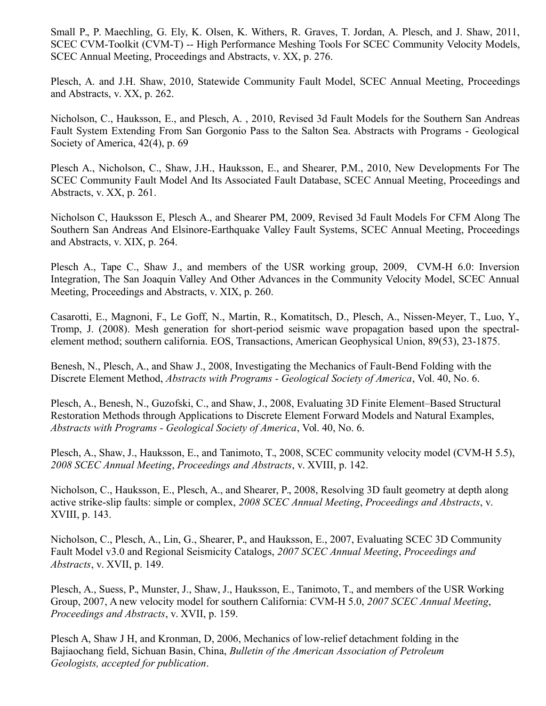Small P., P. Maechling, G. Ely, K. Olsen, K. Withers, R. Graves, T. Jordan, A. Plesch, and J. Shaw, 2011, SCEC CVM-Toolkit (CVM-T) -- High Performance Meshing Tools For SCEC Community Velocity Models, SCEC Annual Meeting, Proceedings and Abstracts, v. XX, p. 276.

Plesch, A. and J.H. Shaw, 2010, Statewide Community Fault Model, SCEC Annual Meeting, Proceedings and Abstracts, v. XX, p. 262.

Nicholson, C., Hauksson, E., and Plesch, A. , 2010, Revised 3d Fault Models for the Southern San Andreas Fault System Extending From San Gorgonio Pass to the Salton Sea. Abstracts with Programs - Geological Society of America, 42(4), p. 69

Plesch A., Nicholson, C., Shaw, J.H., Hauksson, E., and Shearer, P.M., 2010, New Developments For The SCEC Community Fault Model And Its Associated Fault Database, SCEC Annual Meeting, Proceedings and Abstracts, v. XX, p. 261.

Nicholson C, Hauksson E, Plesch A., and Shearer PM, 2009, Revised 3d Fault Models For CFM Along The Southern San Andreas And Elsinore-Earthquake Valley Fault Systems, SCEC Annual Meeting, Proceedings and Abstracts, v. XIX, p. 264.

Plesch A., Tape C., Shaw J., and members of the USR working group, 2009, CVM-H 6.0: Inversion Integration, The San Joaquin Valley And Other Advances in the Community Velocity Model, SCEC Annual Meeting, Proceedings and Abstracts, v. XIX, p. 260.

Casarotti, E., Magnoni, F., Le Goff, N., Martin, R., Komatitsch, D., Plesch, A., Nissen-Meyer, T., Luo, Y., Tromp, J. (2008). Mesh generation for short-period seismic wave propagation based upon the spectralelement method; southern california. EOS, Transactions, American Geophysical Union, 89(53), 23-1875.

Benesh, N., Plesch, A., and Shaw J., 2008, Investigating the Mechanics of Fault-Bend Folding with the Discrete Element Method, *Abstracts with Programs - Geological Society of America*, Vol. 40, No. 6.

Plesch, A., Benesh, N., Guzofski, C., and Shaw, J., 2008, Evaluating 3D Finite Element–Based Structural Restoration Methods through Applications to Discrete Element Forward Models and Natural Examples, *Abstracts with Programs - Geological Society of America*, Vol. 40, No. 6.

Plesch, A., Shaw, J., Hauksson, E., and Tanimoto, T., 2008, SCEC community velocity model (CVM-H 5.5), *2008 SCEC Annual Meeting*, *Proceedings and Abstracts*, v. XVIII, p. 142.

Nicholson, C., Hauksson, E., Plesch, A., and Shearer, P., 2008, Resolving 3D fault geometry at depth along active strike-slip faults: simple or complex, *2008 SCEC Annual Meeting*, *Proceedings and Abstracts*, v. XVIII, p. 143.

Nicholson, C., Plesch, A., Lin, G., Shearer, P., and Hauksson, E., 2007, Evaluating SCEC 3D Community Fault Model v3.0 and Regional Seismicity Catalogs, *2007 SCEC Annual Meeting*, *Proceedings and Abstracts*, v. XVII, p. 149.

Plesch, A., Suess, P., Munster, J., Shaw, J., Hauksson, E., Tanimoto, T., and members of the USR Working Group, 2007, A new velocity model for southern California: CVM-H 5.0, *2007 SCEC Annual Meeting*, *Proceedings and Abstracts*, v. XVII, p. 159.

Plesch A, Shaw J H, and Kronman, D, 2006, Mechanics of low-relief detachment folding in the Bajiaochang field, Sichuan Basin, China, *Bulletin of the American Association of Petroleum Geologists, accepted for publication*.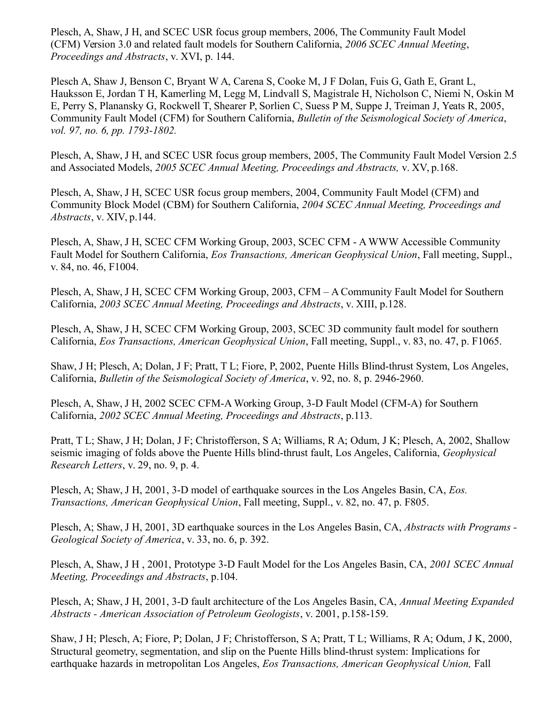Plesch, A, Shaw, J H, and SCEC USR focus group members, 2006, The Community Fault Model (CFM) Version 3.0 and related fault models for Southern California, *2006 SCEC Annual Meeting*, *Proceedings and Abstracts*, v. XVI, p. 144.

Plesch A, Shaw J, Benson C, Bryant W A, Carena S, Cooke M, J F Dolan, Fuis G, Gath E, Grant L, Hauksson E, Jordan T H, Kamerling M, Legg M, Lindvall S, Magistrale H, Nicholson C, Niemi N, Oskin M E, Perry S, Planansky G, Rockwell T, Shearer P, Sorlien C, Suess P M, Suppe J, Treiman J, Yeats R, 2005, Community Fault Model (CFM) for Southern California, *Bulletin of the Seismological Society of America*, *vol. 97, no. 6, pp. 1793-1802.*

Plesch, A, Shaw, J H, and SCEC USR focus group members, 2005, The Community Fault Model Version 2.5 and Associated Models, *2005 SCEC Annual Meeting, Proceedings and Abstracts,* v. XV, p.168.

Plesch, A, Shaw, J H, SCEC USR focus group members, 2004, Community Fault Model (CFM) and Community Block Model (CBM) for Southern California, *2004 SCEC Annual Meeting, Proceedings and Abstracts*, v. XIV, p.144.

Plesch, A, Shaw, J H, SCEC CFM Working Group, 2003, SCEC CFM - A WWW Accessible Community Fault Model for Southern California, *Eos Transactions, American Geophysical Union*, Fall meeting, Suppl., v. 84, no. 46, F1004.

Plesch, A, Shaw, J H, SCEC CFM Working Group, 2003, CFM – A Community Fault Model for Southern California, *2003 SCEC Annual Meeting, Proceedings and Abstracts*, v. XIII, p.128.

Plesch, A, Shaw, J H, SCEC CFM Working Group, 2003, SCEC 3D community fault model for southern California, *Eos Transactions, American Geophysical Union*, Fall meeting, Suppl., v. 83, no. 47, p. F1065.

Shaw, J H; Plesch, A; Dolan, J F; Pratt, T L; Fiore, P, 2002, Puente Hills Blind-thrust System, Los Angeles, California, *Bulletin of the Seismological Society of America*, v. 92, no. 8, p. 2946-2960.

Plesch, A, Shaw, J H, 2002 SCEC CFM-A Working Group, 3-D Fault Model (CFM-A) for Southern California, *2002 SCEC Annual Meeting, Proceedings and Abstracts*, p.113.

Pratt, T L; Shaw, J H; Dolan, J F; Christofferson, S A; Williams, R A; Odum, J K; Plesch, A, 2002, Shallow seismic imaging of folds above the Puente Hills blind-thrust fault, Los Angeles, California, *Geophysical Research Letters*, v. 29, no. 9, p. 4.

Plesch, A; Shaw, J H, 2001, 3-D model of earthquake sources in the Los Angeles Basin, CA, *Eos. Transactions, American Geophysical Union*, Fall meeting, Suppl., v. 82, no. 47, p. F805.

Plesch, A; Shaw, J H, 2001, 3D earthquake sources in the Los Angeles Basin, CA, *Abstracts with Programs - Geological Society of America*, v. 33, no. 6, p. 392.

Plesch, A, Shaw, J H , 2001, Prototype 3-D Fault Model for the Los Angeles Basin, CA, *2001 SCEC Annual Meeting, Proceedings and Abstracts*, p.104.

Plesch, A; Shaw, J H, 2001, 3-D fault architecture of the Los Angeles Basin, CA, *Annual Meeting Expanded Abstracts - American Association of Petroleum Geologists*, v. 2001, p.158-159.

Shaw, J H; Plesch, A; Fiore, P; Dolan, J F; Christofferson, S A; Pratt, T L; Williams, R A; Odum, J K, 2000, Structural geometry, segmentation, and slip on the Puente Hills blind-thrust system: Implications for earthquake hazards in metropolitan Los Angeles, *Eos Transactions, American Geophysical Union,* Fall